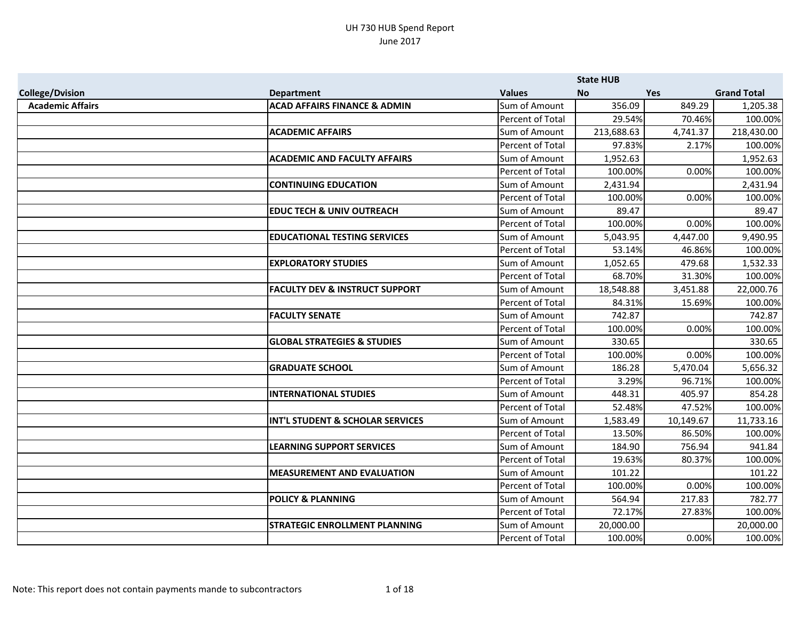|                         |                                           |                  | <b>State HUB</b> |            |                    |
|-------------------------|-------------------------------------------|------------------|------------------|------------|--------------------|
| <b>College/Dvision</b>  | <b>Department</b>                         | <b>Values</b>    | <b>No</b>        | <b>Yes</b> | <b>Grand Total</b> |
| <b>Academic Affairs</b> | <b>ACAD AFFAIRS FINANCE &amp; ADMIN</b>   | Sum of Amount    | 356.09           | 849.29     | 1,205.38           |
|                         |                                           | Percent of Total | 29.54%           | 70.46%     | 100.00%            |
|                         | <b>ACADEMIC AFFAIRS</b>                   | Sum of Amount    | 213,688.63       | 4,741.37   | 218,430.00         |
|                         |                                           | Percent of Total | 97.83%           | 2.17%      | 100.00%            |
|                         | <b>ACADEMIC AND FACULTY AFFAIRS</b>       | Sum of Amount    | 1,952.63         |            | 1,952.63           |
|                         |                                           | Percent of Total | 100.00%          | 0.00%      | 100.00%            |
|                         | <b>CONTINUING EDUCATION</b>               | Sum of Amount    | 2,431.94         |            | 2,431.94           |
|                         |                                           | Percent of Total | 100.00%          | 0.00%      | 100.00%            |
|                         | <b>EDUC TECH &amp; UNIV OUTREACH</b>      | Sum of Amount    | 89.47            |            | 89.47              |
|                         |                                           | Percent of Total | 100.00%          | 0.00%      | 100.00%            |
|                         | <b>EDUCATIONAL TESTING SERVICES</b>       | Sum of Amount    | 5,043.95         | 4,447.00   | 9,490.95           |
|                         |                                           | Percent of Total | 53.14%           | 46.86%     | 100.00%            |
|                         | <b>EXPLORATORY STUDIES</b>                | Sum of Amount    | 1,052.65         | 479.68     | 1,532.33           |
|                         |                                           | Percent of Total | 68.70%           | 31.30%     | 100.00%            |
|                         | <b>FACULTY DEV &amp; INSTRUCT SUPPORT</b> | Sum of Amount    | 18,548.88        | 3,451.88   | 22,000.76          |
|                         |                                           | Percent of Total | 84.31%           | 15.69%     | 100.00%            |
|                         | <b>FACULTY SENATE</b>                     | Sum of Amount    | 742.87           |            | 742.87             |
|                         |                                           | Percent of Total | 100.00%          | 0.00%      | 100.00%            |
|                         | <b>GLOBAL STRATEGIES &amp; STUDIES</b>    | Sum of Amount    | 330.65           |            | 330.65             |
|                         |                                           | Percent of Total | 100.00%          | 0.00%      | 100.00%            |
|                         | <b>GRADUATE SCHOOL</b>                    | Sum of Amount    | 186.28           | 5,470.04   | 5,656.32           |
|                         |                                           | Percent of Total | 3.29%            | 96.71%     | 100.00%            |
|                         | <b>INTERNATIONAL STUDIES</b>              | Sum of Amount    | 448.31           | 405.97     | 854.28             |
|                         |                                           | Percent of Total | 52.48%           | 47.52%     | 100.00%            |
|                         | INT'L STUDENT & SCHOLAR SERVICES          | Sum of Amount    | 1,583.49         | 10,149.67  | 11,733.16          |
|                         |                                           | Percent of Total | 13.50%           | 86.50%     | 100.00%            |
|                         | <b>LEARNING SUPPORT SERVICES</b>          | Sum of Amount    | 184.90           | 756.94     | 941.84             |
|                         |                                           | Percent of Total | 19.63%           | 80.37%     | 100.00%            |
|                         | <b>MEASUREMENT AND EVALUATION</b>         | Sum of Amount    | 101.22           |            | 101.22             |
|                         |                                           | Percent of Total | 100.00%          | 0.00%      | 100.00%            |
|                         | <b>POLICY &amp; PLANNING</b>              | Sum of Amount    | 564.94           | 217.83     | 782.77             |
|                         |                                           | Percent of Total | 72.17%           | 27.83%     | 100.00%            |
|                         | <b>STRATEGIC ENROLLMENT PLANNING</b>      | Sum of Amount    | 20,000.00        |            | 20,000.00          |
|                         |                                           | Percent of Total | 100.00%          | 0.00%      | 100.00%            |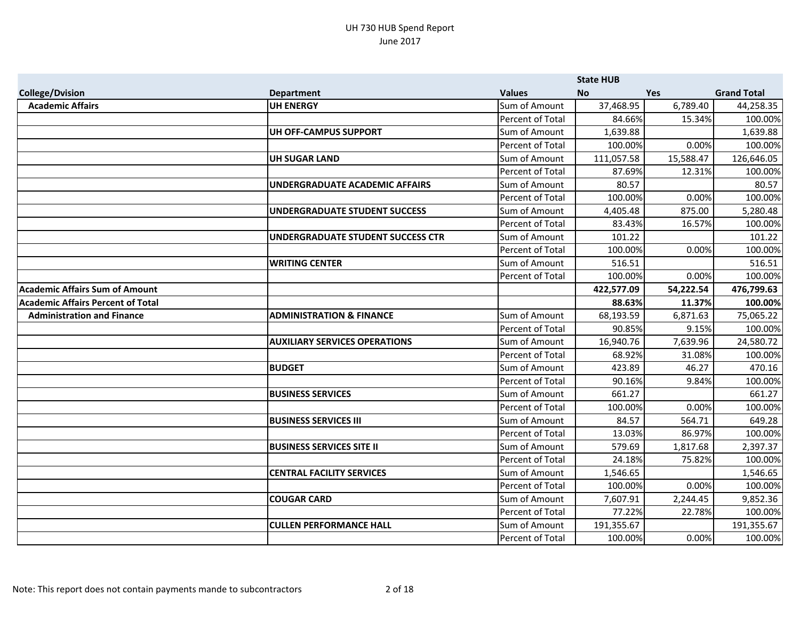|                                          |                                       |                         | <b>State HUB</b> |            |                    |
|------------------------------------------|---------------------------------------|-------------------------|------------------|------------|--------------------|
| <b>College/Dvision</b>                   | <b>Department</b>                     | <b>Values</b>           | <b>No</b>        | <b>Yes</b> | <b>Grand Total</b> |
| <b>Academic Affairs</b>                  | <b>UH ENERGY</b>                      | Sum of Amount           | 37,468.95        | 6,789.40   | 44,258.35          |
|                                          |                                       | Percent of Total        | 84.66%           | 15.34%     | 100.00%            |
|                                          | UH OFF-CAMPUS SUPPORT                 | Sum of Amount           | 1,639.88         |            | 1,639.88           |
|                                          |                                       | Percent of Total        | 100.00%          | 0.00%      | 100.00%            |
|                                          | <b>UH SUGAR LAND</b>                  | Sum of Amount           | 111,057.58       | 15,588.47  | 126,646.05         |
|                                          |                                       | <b>Percent of Total</b> | 87.69%           | 12.31%     | 100.00%            |
|                                          | <b>UNDERGRADUATE ACADEMIC AFFAIRS</b> | Sum of Amount           | 80.57            |            | 80.57              |
|                                          |                                       | Percent of Total        | 100.00%          | 0.00%      | 100.00%            |
|                                          | <b>UNDERGRADUATE STUDENT SUCCESS</b>  | Sum of Amount           | 4,405.48         | 875.00     | 5,280.48           |
|                                          |                                       | Percent of Total        | 83.43%           | 16.57%     | 100.00%            |
|                                          | UNDERGRADUATE STUDENT SUCCESS CTR     | Sum of Amount           | 101.22           |            | 101.22             |
|                                          |                                       | Percent of Total        | 100.00%          | 0.00%      | 100.00%            |
|                                          | <b>WRITING CENTER</b>                 | Sum of Amount           | 516.51           |            | 516.51             |
|                                          |                                       | Percent of Total        | 100.00%          | 0.00%      | 100.00%            |
| <b>Academic Affairs Sum of Amount</b>    |                                       |                         | 422,577.09       | 54,222.54  | 476,799.63         |
| <b>Academic Affairs Percent of Total</b> |                                       |                         | 88.63%           | 11.37%     | 100.00%            |
| <b>Administration and Finance</b>        | <b>ADMINISTRATION &amp; FINANCE</b>   | Sum of Amount           | 68,193.59        | 6,871.63   | 75,065.22          |
|                                          |                                       | Percent of Total        | 90.85%           | 9.15%      | 100.00%            |
|                                          | <b>AUXILIARY SERVICES OPERATIONS</b>  | Sum of Amount           | 16,940.76        | 7,639.96   | 24,580.72          |
|                                          |                                       | Percent of Total        | 68.92%           | 31.08%     | 100.00%            |
|                                          | <b>BUDGET</b>                         | Sum of Amount           | 423.89           | 46.27      | 470.16             |
|                                          |                                       | Percent of Total        | 90.16%           | 9.84%      | 100.00%            |
|                                          | <b>BUSINESS SERVICES</b>              | Sum of Amount           | 661.27           |            | 661.27             |
|                                          |                                       | <b>Percent of Total</b> | 100.00%          | 0.00%      | 100.00%            |
|                                          | <b>BUSINESS SERVICES III</b>          | Sum of Amount           | 84.57            | 564.71     | 649.28             |
|                                          |                                       | Percent of Total        | 13.03%           | 86.97%     | 100.00%            |
|                                          | <b>BUSINESS SERVICES SITE II</b>      | Sum of Amount           | 579.69           | 1,817.68   | 2,397.37           |
|                                          |                                       | Percent of Total        | 24.18%           | 75.82%     | 100.00%            |
|                                          | <b>CENTRAL FACILITY SERVICES</b>      | Sum of Amount           | 1,546.65         |            | 1,546.65           |
|                                          |                                       | Percent of Total        | 100.00%          | 0.00%      | 100.00%            |
|                                          | <b>COUGAR CARD</b>                    | Sum of Amount           | 7,607.91         | 2,244.45   | 9,852.36           |
|                                          |                                       | Percent of Total        | 77.22%           | 22.78%     | 100.00%            |
|                                          | <b>CULLEN PERFORMANCE HALL</b>        | Sum of Amount           | 191,355.67       |            | 191,355.67         |
|                                          |                                       | Percent of Total        | 100.00%          | 0.00%      | 100.00%            |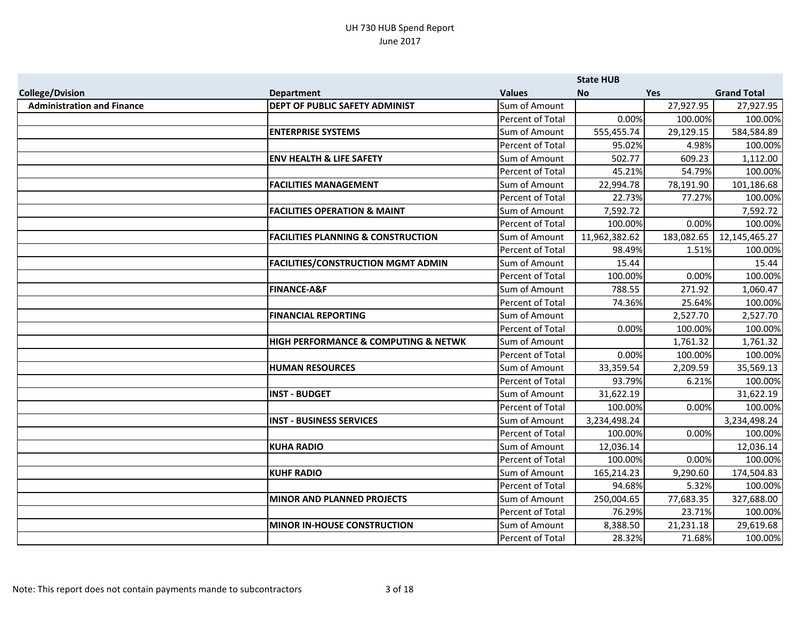|                                   |                                               |                         | <b>State HUB</b> |            |                    |
|-----------------------------------|-----------------------------------------------|-------------------------|------------------|------------|--------------------|
| <b>College/Dvision</b>            | <b>Department</b>                             | <b>Values</b>           | <b>No</b>        | Yes        | <b>Grand Total</b> |
| <b>Administration and Finance</b> | DEPT OF PUBLIC SAFETY ADMINIST                | Sum of Amount           |                  | 27,927.95  | 27,927.95          |
|                                   |                                               | Percent of Total        | 0.00%            | 100.00%    | 100.00%            |
|                                   | <b>ENTERPRISE SYSTEMS</b>                     | Sum of Amount           | 555,455.74       | 29,129.15  | 584,584.89         |
|                                   |                                               | Percent of Total        | 95.02%           | 4.98%      | 100.00%            |
|                                   | <b>ENV HEALTH &amp; LIFE SAFETY</b>           | Sum of Amount           | 502.77           | 609.23     | 1,112.00           |
|                                   |                                               | Percent of Total        | 45.21%           | 54.79%     | 100.00%            |
|                                   | <b>FACILITIES MANAGEMENT</b>                  | Sum of Amount           | 22,994.78        | 78,191.90  | 101,186.68         |
|                                   |                                               | <b>Percent of Total</b> | 22.73%           | 77.27%     | 100.00%            |
|                                   | <b>FACILITIES OPERATION &amp; MAINT</b>       | Sum of Amount           | 7,592.72         |            | 7,592.72           |
|                                   |                                               | <b>Percent of Total</b> | 100.00%          | 0.00%      | 100.00%            |
|                                   | <b>FACILITIES PLANNING &amp; CONSTRUCTION</b> | Sum of Amount           | 11,962,382.62    | 183,082.65 | 12,145,465.27      |
|                                   |                                               | Percent of Total        | 98.49%           | 1.51%      | 100.00%            |
|                                   | <b>FACILITIES/CONSTRUCTION MGMT ADMIN</b>     | Sum of Amount           | 15.44            |            | 15.44              |
|                                   |                                               | <b>Percent of Total</b> | 100.00%          | 0.00%      | 100.00%            |
|                                   | <b>FINANCE-A&amp;F</b>                        | Sum of Amount           | 788.55           | 271.92     | 1,060.47           |
|                                   |                                               | <b>Percent of Total</b> | 74.36%           | 25.64%     | 100.00%            |
|                                   | <b>FINANCIAL REPORTING</b>                    | Sum of Amount           |                  | 2,527.70   | 2,527.70           |
|                                   |                                               | Percent of Total        | 0.00%            | 100.00%    | 100.00%            |
|                                   | HIGH PERFORMANCE & COMPUTING & NETWK          | Sum of Amount           |                  | 1,761.32   | 1,761.32           |
|                                   |                                               | Percent of Total        | 0.00%            | 100.00%    | 100.00%            |
|                                   | <b>HUMAN RESOURCES</b>                        | Sum of Amount           | 33,359.54        | 2,209.59   | 35,569.13          |
|                                   |                                               | <b>Percent of Total</b> | 93.79%           | 6.21%      | 100.00%            |
|                                   | <b>INST - BUDGET</b>                          | Sum of Amount           | 31,622.19        |            | 31,622.19          |
|                                   |                                               | Percent of Total        | 100.00%          | 0.00%      | 100.00%            |
|                                   | <b>INST - BUSINESS SERVICES</b>               | Sum of Amount           | 3,234,498.24     |            | 3,234,498.24       |
|                                   |                                               | Percent of Total        | 100.00%          | 0.00%      | 100.00%            |
|                                   | <b>KUHA RADIO</b>                             | Sum of Amount           | 12,036.14        |            | 12,036.14          |
|                                   |                                               | Percent of Total        | 100.00%          | 0.00%      | 100.00%            |
|                                   | <b>KUHF RADIO</b>                             | Sum of Amount           | 165,214.23       | 9,290.60   | 174,504.83         |
|                                   |                                               | Percent of Total        | 94.68%           | 5.32%      | 100.00%            |
|                                   | <b>MINOR AND PLANNED PROJECTS</b>             | Sum of Amount           | 250,004.65       | 77,683.35  | 327,688.00         |
|                                   |                                               | Percent of Total        | 76.29%           | 23.71%     | 100.00%            |
|                                   | <b>MINOR IN-HOUSE CONSTRUCTION</b>            | Sum of Amount           | 8,388.50         | 21,231.18  | 29,619.68          |
|                                   |                                               | Percent of Total        | 28.32%           | 71.68%     | 100.00%            |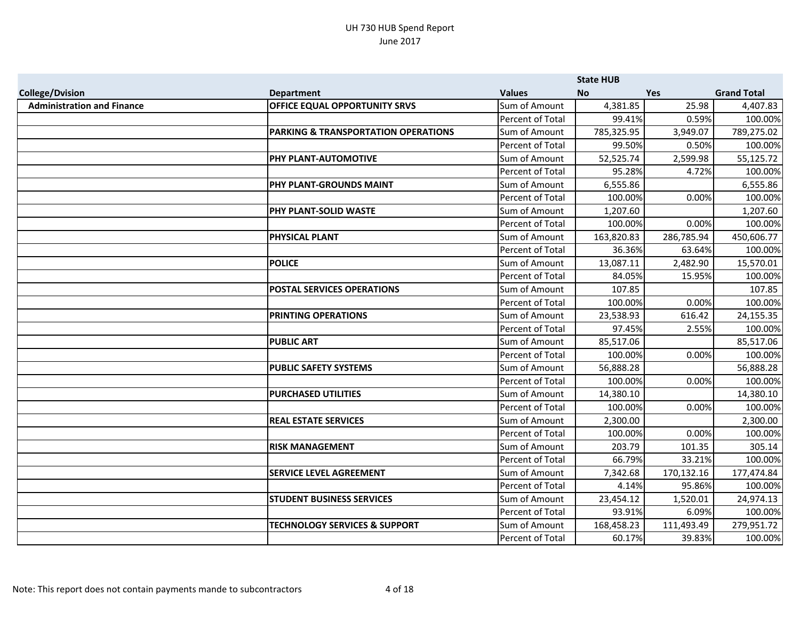|                                   |                                          |                  | <b>State HUB</b> |            |                    |
|-----------------------------------|------------------------------------------|------------------|------------------|------------|--------------------|
| <b>College/Dvision</b>            | <b>Department</b>                        | <b>Values</b>    | <b>No</b>        | <b>Yes</b> | <b>Grand Total</b> |
| <b>Administration and Finance</b> | <b>OFFICE EQUAL OPPORTUNITY SRVS</b>     | Sum of Amount    | 4,381.85         | 25.98      | 4,407.83           |
|                                   |                                          | Percent of Total | 99.41%           | 0.59%      | 100.00%            |
|                                   | PARKING & TRANSPORTATION OPERATIONS      | Sum of Amount    | 785,325.95       | 3,949.07   | 789,275.02         |
|                                   |                                          | Percent of Total | 99.50%           | 0.50%      | 100.00%            |
|                                   | PHY PLANT-AUTOMOTIVE                     | Sum of Amount    | 52,525.74        | 2,599.98   | 55,125.72          |
|                                   |                                          | Percent of Total | 95.28%           | 4.72%      | 100.00%            |
|                                   | PHY PLANT-GROUNDS MAINT                  | Sum of Amount    | 6,555.86         |            | 6,555.86           |
|                                   |                                          | Percent of Total | 100.00%          | 0.00%      | 100.00%            |
|                                   | <b>PHY PLANT-SOLID WASTE</b>             | Sum of Amount    | 1,207.60         |            | 1,207.60           |
|                                   |                                          | Percent of Total | 100.00%          | 0.00%      | 100.00%            |
|                                   | <b>PHYSICAL PLANT</b>                    | Sum of Amount    | 163,820.83       | 286,785.94 | 450,606.77         |
|                                   |                                          | Percent of Total | 36.36%           | 63.64%     | 100.00%            |
|                                   | <b>POLICE</b>                            | Sum of Amount    | 13,087.11        | 2,482.90   | 15,570.01          |
|                                   |                                          | Percent of Total | 84.05%           | 15.95%     | 100.00%            |
|                                   | <b>POSTAL SERVICES OPERATIONS</b>        | Sum of Amount    | 107.85           |            | 107.85             |
|                                   |                                          | Percent of Total | 100.00%          | 0.00%      | 100.00%            |
|                                   | <b>PRINTING OPERATIONS</b>               | Sum of Amount    | 23,538.93        | 616.42     | 24,155.35          |
|                                   |                                          | Percent of Total | 97.45%           | 2.55%      | 100.00%            |
|                                   | <b>PUBLIC ART</b>                        | Sum of Amount    | 85,517.06        |            | 85,517.06          |
|                                   |                                          | Percent of Total | 100.00%          | 0.00%      | 100.00%            |
|                                   | <b>PUBLIC SAFETY SYSTEMS</b>             | Sum of Amount    | 56,888.28        |            | 56,888.28          |
|                                   |                                          | Percent of Total | 100.00%          | 0.00%      | 100.00%            |
|                                   | <b>PURCHASED UTILITIES</b>               | Sum of Amount    | 14,380.10        |            | 14,380.10          |
|                                   |                                          | Percent of Total | 100.00%          | 0.00%      | 100.00%            |
|                                   | <b>REAL ESTATE SERVICES</b>              | Sum of Amount    | 2,300.00         |            | 2,300.00           |
|                                   |                                          | Percent of Total | 100.00%          | 0.00%      | 100.00%            |
|                                   | <b>RISK MANAGEMENT</b>                   | Sum of Amount    | 203.79           | 101.35     | 305.14             |
|                                   |                                          | Percent of Total | 66.79%           | 33.21%     | 100.00%            |
|                                   | <b>SERVICE LEVEL AGREEMENT</b>           | Sum of Amount    | 7,342.68         | 170,132.16 | 177,474.84         |
|                                   |                                          | Percent of Total | 4.14%            | 95.86%     | 100.00%            |
|                                   | <b>STUDENT BUSINESS SERVICES</b>         | Sum of Amount    | 23,454.12        | 1,520.01   | 24,974.13          |
|                                   |                                          | Percent of Total | 93.91%           | 6.09%      | 100.00%            |
|                                   | <b>TECHNOLOGY SERVICES &amp; SUPPORT</b> | Sum of Amount    | 168,458.23       | 111,493.49 | 279,951.72         |
|                                   |                                          | Percent of Total | 60.17%           | 39.83%     | 100.00%            |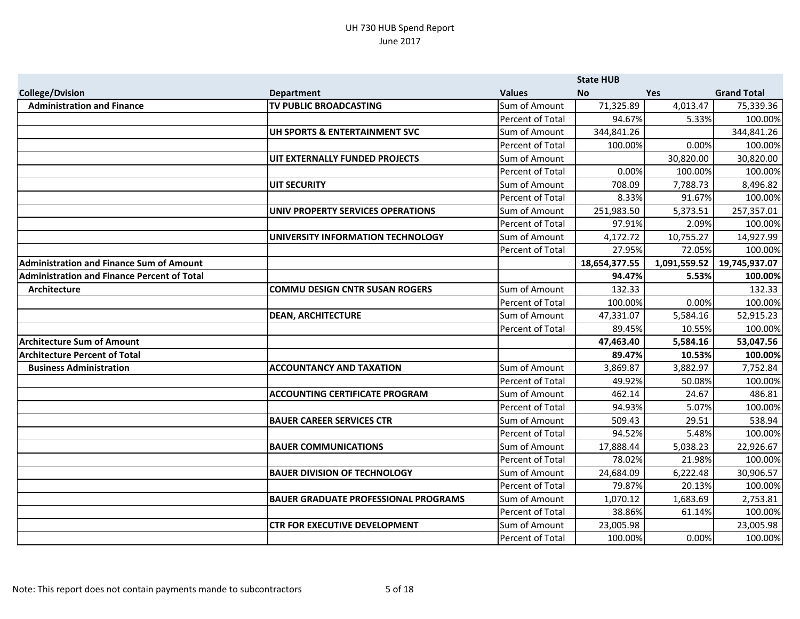|                                                 |                                             |                         | <b>State HUB</b> |              |                    |
|-------------------------------------------------|---------------------------------------------|-------------------------|------------------|--------------|--------------------|
| <b>College/Dvision</b>                          | <b>Department</b>                           | <b>Values</b>           | <b>No</b>        | <b>Yes</b>   | <b>Grand Total</b> |
| <b>Administration and Finance</b>               | TV PUBLIC BROADCASTING                      | Sum of Amount           | 71,325.89        | 4,013.47     | 75,339.36          |
|                                                 |                                             | Percent of Total        | 94.67%           | 5.33%        | 100.00%            |
|                                                 | UH SPORTS & ENTERTAINMENT SVC               | Sum of Amount           | 344,841.26       |              | 344,841.26         |
|                                                 |                                             | Percent of Total        | 100.00%          | 0.00%        | 100.00%            |
|                                                 | UIT EXTERNALLY FUNDED PROJECTS              | Sum of Amount           |                  | 30,820.00    | 30,820.00          |
|                                                 |                                             | Percent of Total        | 0.00%            | 100.00%      | 100.00%            |
|                                                 | <b>UIT SECURITY</b>                         | Sum of Amount           | 708.09           | 7,788.73     | 8,496.82           |
|                                                 |                                             | Percent of Total        | 8.33%            | 91.67%       | 100.00%            |
|                                                 | UNIV PROPERTY SERVICES OPERATIONS           | Sum of Amount           | 251,983.50       | 5,373.51     | 257,357.01         |
|                                                 |                                             | Percent of Total        | 97.91%           | 2.09%        | 100.00%            |
|                                                 | UNIVERSITY INFORMATION TECHNOLOGY           | Sum of Amount           | 4,172.72         | 10,755.27    | 14,927.99          |
|                                                 |                                             | Percent of Total        | 27.95%           | 72.05%       | 100.00%            |
| <b>Administration and Finance Sum of Amount</b> |                                             |                         | 18,654,377.55    | 1,091,559.52 | 19,745,937.07      |
| Administration and Finance Percent of Total     |                                             |                         | 94.47%           | 5.53%        | 100.00%            |
| Architecture                                    | <b>COMMU DESIGN CNTR SUSAN ROGERS</b>       | Sum of Amount           | 132.33           |              | 132.33             |
|                                                 |                                             | Percent of Total        | 100.00%          | 0.00%        | 100.00%            |
|                                                 | <b>DEAN, ARCHITECTURE</b>                   | Sum of Amount           | 47,331.07        | 5,584.16     | 52,915.23          |
|                                                 |                                             | Percent of Total        | 89.45%           | 10.55%       | 100.00%            |
| <b>Architecture Sum of Amount</b>               |                                             |                         | 47,463.40        | 5,584.16     | 53,047.56          |
| <b>Architecture Percent of Total</b>            |                                             |                         | 89.47%           | 10.53%       | 100.00%            |
| <b>Business Administration</b>                  | <b>ACCOUNTANCY AND TAXATION</b>             | Sum of Amount           | 3,869.87         | 3,882.97     | 7,752.84           |
|                                                 |                                             | <b>Percent of Total</b> | 49.92%           | 50.08%       | 100.00%            |
|                                                 | <b>ACCOUNTING CERTIFICATE PROGRAM</b>       | Sum of Amount           | 462.14           | 24.67        | 486.81             |
|                                                 |                                             | Percent of Total        | 94.93%           | 5.07%        | 100.00%            |
|                                                 | <b>BAUER CAREER SERVICES CTR</b>            | Sum of Amount           | 509.43           | 29.51        | 538.94             |
|                                                 |                                             | Percent of Total        | 94.52%           | 5.48%        | 100.00%            |
|                                                 | <b>BAUER COMMUNICATIONS</b>                 | Sum of Amount           | 17,888.44        | 5,038.23     | 22,926.67          |
|                                                 |                                             | Percent of Total        | 78.02%           | 21.98%       | 100.00%            |
|                                                 | <b>BAUER DIVISION OF TECHNOLOGY</b>         | Sum of Amount           | 24,684.09        | 6,222.48     | 30,906.57          |
|                                                 |                                             | Percent of Total        | 79.87%           | 20.13%       | 100.00%            |
|                                                 | <b>BAUER GRADUATE PROFESSIONAL PROGRAMS</b> | Sum of Amount           | 1,070.12         | 1,683.69     | 2,753.81           |
|                                                 |                                             | Percent of Total        | 38.86%           | 61.14%       | 100.00%            |
|                                                 | <b>CTR FOR EXECUTIVE DEVELOPMENT</b>        | Sum of Amount           | 23,005.98        |              | 23,005.98          |
|                                                 |                                             | Percent of Total        | 100.00%          | 0.00%        | 100.00%            |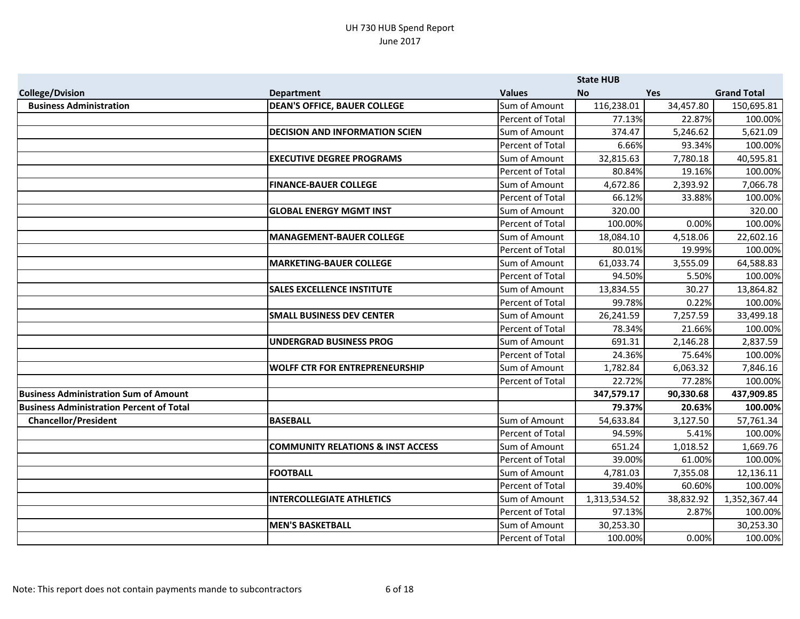|                                                 |                                              |                  | <b>State HUB</b> |            |                    |
|-------------------------------------------------|----------------------------------------------|------------------|------------------|------------|--------------------|
| <b>College/Dvision</b>                          | <b>Department</b>                            | <b>Values</b>    | <b>No</b>        | <b>Yes</b> | <b>Grand Total</b> |
| <b>Business Administration</b>                  | <b>DEAN'S OFFICE, BAUER COLLEGE</b>          | Sum of Amount    | 116,238.01       | 34,457.80  | 150,695.81         |
|                                                 |                                              | Percent of Total | 77.13%           | 22.87%     | 100.00%            |
|                                                 | <b>DECISION AND INFORMATION SCIEN</b>        | Sum of Amount    | 374.47           | 5,246.62   | 5,621.09           |
|                                                 |                                              | Percent of Total | 6.66%            | 93.34%     | 100.00%            |
|                                                 | <b>EXECUTIVE DEGREE PROGRAMS</b>             | Sum of Amount    | 32,815.63        | 7,780.18   | 40,595.81          |
|                                                 |                                              | Percent of Total | 80.84%           | 19.16%     | 100.00%            |
|                                                 | <b>FINANCE-BAUER COLLEGE</b>                 | Sum of Amount    | 4,672.86         | 2,393.92   | 7,066.78           |
|                                                 |                                              | Percent of Total | 66.12%           | 33.88%     | 100.00%            |
|                                                 | <b>GLOBAL ENERGY MGMT INST</b>               | Sum of Amount    | 320.00           |            | 320.00             |
|                                                 |                                              | Percent of Total | 100.00%          | 0.00%      | 100.00%            |
|                                                 | <b>MANAGEMENT-BAUER COLLEGE</b>              | Sum of Amount    | 18,084.10        | 4,518.06   | 22,602.16          |
|                                                 |                                              | Percent of Total | 80.01%           | 19.99%     | 100.00%            |
|                                                 | <b>MARKETING-BAUER COLLEGE</b>               | Sum of Amount    | 61,033.74        | 3,555.09   | 64,588.83          |
|                                                 |                                              | Percent of Total | 94.50%           | 5.50%      | 100.00%            |
|                                                 | <b>SALES EXCELLENCE INSTITUTE</b>            | Sum of Amount    | 13,834.55        | 30.27      | 13,864.82          |
|                                                 |                                              | Percent of Total | 99.78%           | 0.22%      | 100.00%            |
|                                                 | <b>SMALL BUSINESS DEV CENTER</b>             | Sum of Amount    | 26,241.59        | 7,257.59   | 33,499.18          |
|                                                 |                                              | Percent of Total | 78.34%           | 21.66%     | 100.00%            |
|                                                 | <b>UNDERGRAD BUSINESS PROG</b>               | Sum of Amount    | 691.31           | 2,146.28   | 2,837.59           |
|                                                 |                                              | Percent of Total | 24.36%           | 75.64%     | 100.00%            |
|                                                 | <b>WOLFF CTR FOR ENTREPRENEURSHIP</b>        | Sum of Amount    | 1,782.84         | 6,063.32   | 7,846.16           |
|                                                 |                                              | Percent of Total | 22.72%           | 77.28%     | 100.00%            |
| Business Administration Sum of Amount           |                                              |                  | 347,579.17       | 90,330.68  | 437,909.85         |
| <b>Business Administration Percent of Total</b> |                                              |                  | 79.37%           | 20.63%     | 100.00%            |
| <b>Chancellor/President</b>                     | <b>BASEBALL</b>                              | Sum of Amount    | 54,633.84        | 3,127.50   | 57,761.34          |
|                                                 |                                              | Percent of Total | 94.59%           | 5.41%      | 100.00%            |
|                                                 | <b>COMMUNITY RELATIONS &amp; INST ACCESS</b> | Sum of Amount    | 651.24           | 1,018.52   | 1,669.76           |
|                                                 |                                              | Percent of Total | 39.00%           | 61.00%     | 100.00%            |
|                                                 | <b>FOOTBALL</b>                              | Sum of Amount    | 4,781.03         | 7,355.08   | 12,136.11          |
|                                                 |                                              | Percent of Total | 39.40%           | 60.60%     | 100.00%            |
|                                                 | <b>INTERCOLLEGIATE ATHLETICS</b>             | Sum of Amount    | 1,313,534.52     | 38,832.92  | 1,352,367.44       |
|                                                 |                                              | Percent of Total | 97.13%           | 2.87%      | 100.00%            |
|                                                 | <b>MEN'S BASKETBALL</b>                      | Sum of Amount    | 30,253.30        |            | 30,253.30          |
|                                                 |                                              | Percent of Total | 100.00%          | 0.00%      | 100.00%            |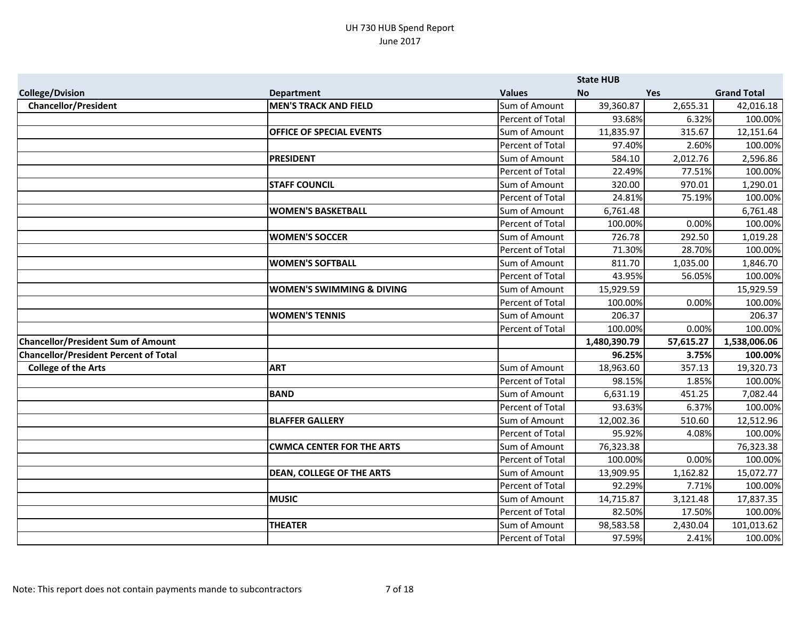|                                              |                                      |                  | <b>State HUB</b> |           |                    |
|----------------------------------------------|--------------------------------------|------------------|------------------|-----------|--------------------|
| <b>College/Dvision</b>                       | <b>Department</b>                    | <b>Values</b>    | <b>No</b>        | Yes       | <b>Grand Total</b> |
| <b>Chancellor/President</b>                  | <b>MEN'S TRACK AND FIELD</b>         | Sum of Amount    | 39,360.87        | 2,655.31  | 42,016.18          |
|                                              |                                      | Percent of Total | 93.68%           | 6.32%     | 100.00%            |
|                                              | OFFICE OF SPECIAL EVENTS             | Sum of Amount    | 11,835.97        | 315.67    | 12,151.64          |
|                                              |                                      | Percent of Total | 97.40%           | 2.60%     | 100.00%            |
|                                              | <b>PRESIDENT</b>                     | Sum of Amount    | 584.10           | 2,012.76  | 2,596.86           |
|                                              |                                      | Percent of Total | 22.49%           | 77.51%    | 100.00%            |
|                                              | <b>STAFF COUNCIL</b>                 | Sum of Amount    | 320.00           | 970.01    | 1,290.01           |
|                                              |                                      | Percent of Total | 24.81%           | 75.19%    | 100.00%            |
|                                              | <b>WOMEN'S BASKETBALL</b>            | Sum of Amount    | 6,761.48         |           | 6,761.48           |
|                                              |                                      | Percent of Total | 100.00%          | 0.00%     | 100.00%            |
|                                              | <b>WOMEN'S SOCCER</b>                | Sum of Amount    | 726.78           | 292.50    | 1,019.28           |
|                                              |                                      | Percent of Total | 71.30%           | 28.70%    | 100.00%            |
|                                              | <b>WOMEN'S SOFTBALL</b>              | Sum of Amount    | 811.70           | 1,035.00  | 1,846.70           |
|                                              |                                      | Percent of Total | 43.95%           | 56.05%    | 100.00%            |
|                                              | <b>WOMEN'S SWIMMING &amp; DIVING</b> | Sum of Amount    | 15,929.59        |           | 15,929.59          |
|                                              |                                      | Percent of Total | 100.00%          | 0.00%     | 100.00%            |
|                                              | <b>WOMEN'S TENNIS</b>                | Sum of Amount    | 206.37           |           | 206.37             |
|                                              |                                      | Percent of Total | 100.00%          | 0.00%     | 100.00%            |
| <b>Chancellor/President Sum of Amount</b>    |                                      |                  | 1,480,390.79     | 57,615.27 | 1,538,006.06       |
| <b>Chancellor/President Percent of Total</b> |                                      |                  | 96.25%           | 3.75%     | 100.00%            |
| <b>College of the Arts</b>                   | <b>ART</b>                           | Sum of Amount    | 18,963.60        | 357.13    | 19,320.73          |
|                                              |                                      | Percent of Total | 98.15%           | 1.85%     | 100.00%            |
|                                              | <b>BAND</b>                          | Sum of Amount    | 6,631.19         | 451.25    | 7,082.44           |
|                                              |                                      | Percent of Total | 93.63%           | 6.37%     | 100.00%            |
|                                              | <b>BLAFFER GALLERY</b>               | Sum of Amount    | 12,002.36        | 510.60    | 12,512.96          |
|                                              |                                      | Percent of Total | 95.92%           | 4.08%     | 100.00%            |
|                                              | <b>CWMCA CENTER FOR THE ARTS</b>     | Sum of Amount    | 76,323.38        |           | 76,323.38          |
|                                              |                                      | Percent of Total | 100.00%          | 0.00%     | 100.00%            |
|                                              | <b>DEAN, COLLEGE OF THE ARTS</b>     | Sum of Amount    | 13,909.95        | 1,162.82  | 15,072.77          |
|                                              |                                      | Percent of Total | 92.29%           | 7.71%     | 100.00%            |
|                                              | <b>MUSIC</b>                         | Sum of Amount    | 14,715.87        | 3,121.48  | 17,837.35          |
|                                              |                                      | Percent of Total | 82.50%           | 17.50%    | 100.00%            |
|                                              | <b>THEATER</b>                       | Sum of Amount    | 98,583.58        | 2,430.04  | 101,013.62         |
|                                              |                                      | Percent of Total | 97.59%           | 2.41%     | 100.00%            |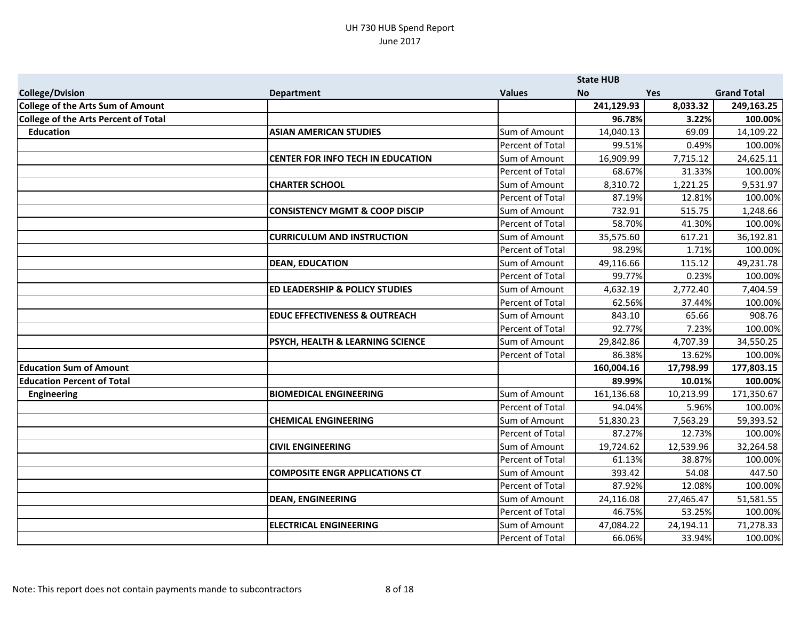|                                      |                                           |                      | <b>State HUB</b> |            |                    |
|--------------------------------------|-------------------------------------------|----------------------|------------------|------------|--------------------|
| <b>College/Dvision</b>               | <b>Department</b>                         | <b>Values</b>        | <b>No</b>        | <b>Yes</b> | <b>Grand Total</b> |
| College of the Arts Sum of Amount    |                                           |                      | 241,129.93       | 8,033.32   | 249,163.25         |
| College of the Arts Percent of Total |                                           |                      | 96.78%           | 3.22%      | 100.00%            |
| <b>Education</b>                     | <b>ASIAN AMERICAN STUDIES</b>             | Sum of Amount        | 14,040.13        | 69.09      | 14,109.22          |
|                                      |                                           | Percent of Total     | 99.51%           | 0.49%      | 100.00%            |
|                                      | <b>CENTER FOR INFO TECH IN EDUCATION</b>  | <b>Sum of Amount</b> | 16,909.99        | 7,715.12   | 24,625.11          |
|                                      |                                           | Percent of Total     | 68.67%           | 31.33%     | 100.00%            |
|                                      | <b>CHARTER SCHOOL</b>                     | Sum of Amount        | 8,310.72         | 1,221.25   | 9,531.97           |
|                                      |                                           | Percent of Total     | 87.19%           | 12.81%     | 100.00%            |
|                                      | <b>CONSISTENCY MGMT &amp; COOP DISCIP</b> | Sum of Amount        | 732.91           | 515.75     | 1,248.66           |
|                                      |                                           | Percent of Total     | 58.70%           | 41.30%     | 100.00%            |
|                                      | <b>CURRICULUM AND INSTRUCTION</b>         | Sum of Amount        | 35,575.60        | 617.21     | 36,192.81          |
|                                      |                                           | Percent of Total     | 98.29%           | 1.71%      | 100.00%            |
|                                      | <b>DEAN, EDUCATION</b>                    | Sum of Amount        | 49,116.66        | 115.12     | 49,231.78          |
|                                      |                                           | Percent of Total     | 99.77%           | 0.23%      | 100.00%            |
|                                      | <b>ED LEADERSHIP &amp; POLICY STUDIES</b> | Sum of Amount        | 4,632.19         | 2,772.40   | 7,404.59           |
|                                      |                                           | Percent of Total     | 62.56%           | 37.44%     | 100.00%            |
|                                      | <b>EDUC EFFECTIVENESS &amp; OUTREACH</b>  | Sum of Amount        | 843.10           | 65.66      | 908.76             |
|                                      |                                           | Percent of Total     | 92.77%           | 7.23%      | 100.00%            |
|                                      | PSYCH, HEALTH & LEARNING SCIENCE          | Sum of Amount        | 29,842.86        | 4,707.39   | 34,550.25          |
|                                      |                                           | Percent of Total     | 86.38%           | 13.62%     | 100.00%            |
| <b>Education Sum of Amount</b>       |                                           |                      | 160,004.16       | 17,798.99  | 177,803.15         |
| <b>Education Percent of Total</b>    |                                           |                      | 89.99%           | 10.01%     | 100.00%            |
| <b>Engineering</b>                   | <b>BIOMEDICAL ENGINEERING</b>             | Sum of Amount        | 161,136.68       | 10,213.99  | 171,350.67         |
|                                      |                                           | Percent of Total     | 94.04%           | 5.96%      | 100.00%            |
|                                      | <b>CHEMICAL ENGINEERING</b>               | Sum of Amount        | 51,830.23        | 7,563.29   | 59,393.52          |
|                                      |                                           | Percent of Total     | 87.27%           | 12.73%     | 100.00%            |
|                                      | <b>CIVIL ENGINEERING</b>                  | Sum of Amount        | 19,724.62        | 12,539.96  | 32,264.58          |
|                                      |                                           | Percent of Total     | 61.13%           | 38.87%     | 100.00%            |
|                                      | <b>COMPOSITE ENGR APPLICATIONS CT</b>     | Sum of Amount        | 393.42           | 54.08      | 447.50             |
|                                      |                                           | Percent of Total     | 87.92%           | 12.08%     | 100.00%            |
|                                      | <b>DEAN, ENGINEERING</b>                  | Sum of Amount        | 24,116.08        | 27,465.47  | 51,581.55          |
|                                      |                                           | Percent of Total     | 46.75%           | 53.25%     | 100.00%            |
|                                      | <b>ELECTRICAL ENGINEERING</b>             | Sum of Amount        | 47,084.22        | 24,194.11  | 71,278.33          |
|                                      |                                           | Percent of Total     | 66.06%           | 33.94%     | 100.00%            |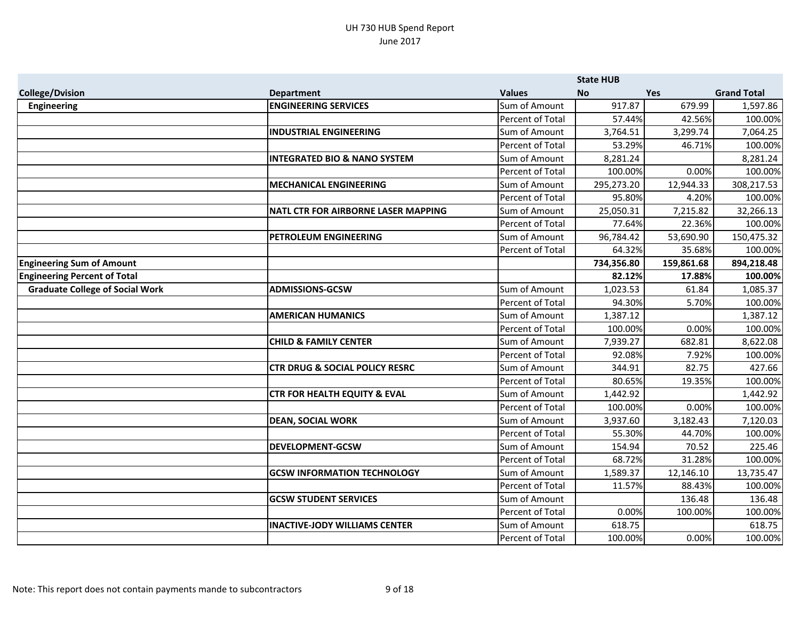|                                        |                                            |                         | <b>State HUB</b> |            |                    |
|----------------------------------------|--------------------------------------------|-------------------------|------------------|------------|--------------------|
| <b>College/Dvision</b>                 | <b>Department</b>                          | <b>Values</b>           | <b>No</b>        | <b>Yes</b> | <b>Grand Total</b> |
| <b>Engineering</b>                     | <b>ENGINEERING SERVICES</b>                | Sum of Amount           | 917.87           | 679.99     | 1,597.86           |
|                                        |                                            | Percent of Total        | 57.44%           | 42.56%     | 100.00%            |
|                                        | <b>INDUSTRIAL ENGINEERING</b>              | Sum of Amount           | 3,764.51         | 3,299.74   | 7,064.25           |
|                                        |                                            | Percent of Total        | 53.29%           | 46.71%     | 100.00%            |
|                                        | <b>INTEGRATED BIO &amp; NANO SYSTEM</b>    | Sum of Amount           | 8,281.24         |            | 8,281.24           |
|                                        |                                            | Percent of Total        | 100.00%          | 0.00%      | 100.00%            |
|                                        | <b>MECHANICAL ENGINEERING</b>              | Sum of Amount           | 295,273.20       | 12,944.33  | 308,217.53         |
|                                        |                                            | Percent of Total        | 95.80%           | 4.20%      | 100.00%            |
|                                        | <b>NATL CTR FOR AIRBORNE LASER MAPPING</b> | Sum of Amount           | 25,050.31        | 7,215.82   | 32,266.13          |
|                                        |                                            | Percent of Total        | 77.64%           | 22.36%     | 100.00%            |
|                                        | PETROLEUM ENGINEERING                      | Sum of Amount           | 96,784.42        | 53,690.90  | 150,475.32         |
|                                        |                                            | Percent of Total        | 64.32%           | 35.68%     | 100.00%            |
| <b>Engineering Sum of Amount</b>       |                                            |                         | 734,356.80       | 159,861.68 | 894,218.48         |
| <b>Engineering Percent of Total</b>    |                                            |                         | 82.12%           | 17.88%     | 100.00%            |
| <b>Graduate College of Social Work</b> | <b>ADMISSIONS-GCSW</b>                     | Sum of Amount           | 1,023.53         | 61.84      | 1,085.37           |
|                                        |                                            | Percent of Total        | 94.30%           | 5.70%      | 100.00%            |
|                                        | <b>AMERICAN HUMANICS</b>                   | Sum of Amount           | 1,387.12         |            | 1,387.12           |
|                                        |                                            | Percent of Total        | 100.00%          | 0.00%      | 100.00%            |
|                                        | <b>CHILD &amp; FAMILY CENTER</b>           | Sum of Amount           | 7,939.27         | 682.81     | 8,622.08           |
|                                        |                                            | Percent of Total        | 92.08%           | 7.92%      | 100.00%            |
|                                        | <b>CTR DRUG &amp; SOCIAL POLICY RESRC</b>  | Sum of Amount           | 344.91           | 82.75      | 427.66             |
|                                        |                                            | Percent of Total        | 80.65%           | 19.35%     | 100.00%            |
|                                        | <b>CTR FOR HEALTH EQUITY &amp; EVAL</b>    | Sum of Amount           | 1,442.92         |            | 1,442.92           |
|                                        |                                            | <b>Percent of Total</b> | 100.00%          | 0.00%      | 100.00%            |
|                                        | <b>DEAN, SOCIAL WORK</b>                   | Sum of Amount           | 3,937.60         | 3,182.43   | 7,120.03           |
|                                        |                                            | Percent of Total        | 55.30%           | 44.70%     | 100.00%            |
|                                        | <b>DEVELOPMENT-GCSW</b>                    | Sum of Amount           | 154.94           | 70.52      | 225.46             |
|                                        |                                            | Percent of Total        | 68.72%           | 31.28%     | 100.00%            |
|                                        | <b>GCSW INFORMATION TECHNOLOGY</b>         | Sum of Amount           | 1,589.37         | 12,146.10  | 13,735.47          |
|                                        |                                            | Percent of Total        | 11.57%           | 88.43%     | 100.00%            |
|                                        | <b>GCSW STUDENT SERVICES</b>               | Sum of Amount           |                  | 136.48     | 136.48             |
|                                        |                                            | Percent of Total        | 0.00%            | 100.00%    | 100.00%            |
|                                        | <b>INACTIVE-JODY WILLIAMS CENTER</b>       | Sum of Amount           | 618.75           |            | 618.75             |
|                                        |                                            | Percent of Total        | 100.00%          | 0.00%      | 100.00%            |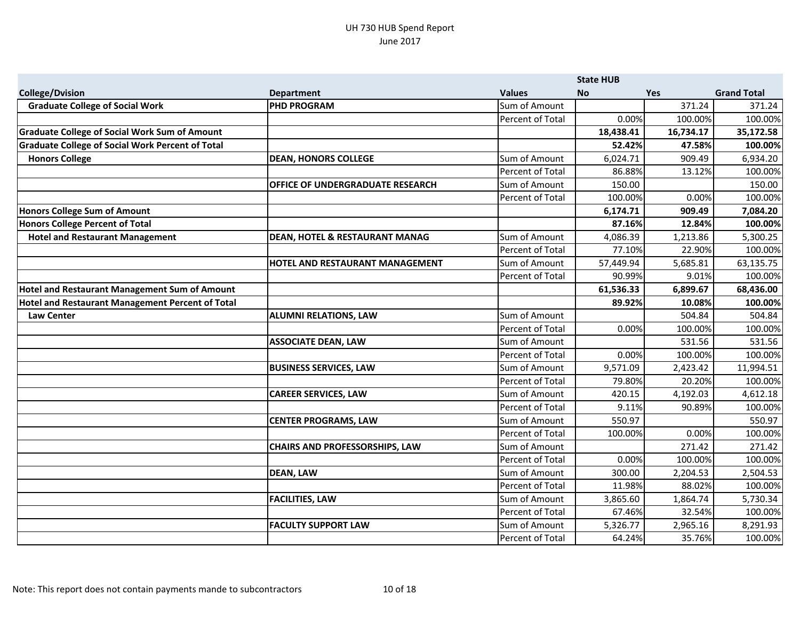|                                                         |                                           |                         | <b>State HUB</b> |            |                    |
|---------------------------------------------------------|-------------------------------------------|-------------------------|------------------|------------|--------------------|
| <b>College/Dvision</b>                                  | <b>Department</b>                         | <b>Values</b>           | <b>No</b>        | <b>Yes</b> | <b>Grand Total</b> |
| <b>Graduate College of Social Work</b>                  | <b>PHD PROGRAM</b>                        | Sum of Amount           |                  | 371.24     | 371.24             |
|                                                         |                                           | <b>Percent of Total</b> | 0.00%            | 100.00%    | 100.00%            |
| <b>Graduate College of Social Work Sum of Amount</b>    |                                           |                         | 18,438.41        | 16,734.17  | 35,172.58          |
| <b>Graduate College of Social Work Percent of Total</b> |                                           |                         | 52.42%           | 47.58%     | 100.00%            |
| <b>Honors College</b>                                   | <b>DEAN, HONORS COLLEGE</b>               | Sum of Amount           | 6,024.71         | 909.49     | 6,934.20           |
|                                                         |                                           | <b>Percent of Total</b> | 86.88%           | 13.12%     | 100.00%            |
|                                                         | <b>OFFICE OF UNDERGRADUATE RESEARCH</b>   | Sum of Amount           | 150.00           |            | 150.00             |
|                                                         |                                           | <b>Percent of Total</b> | 100.00%          | 0.00%      | 100.00%            |
| Honors College Sum of Amount                            |                                           |                         | 6,174.71         | 909.49     | 7,084.20           |
| Honors College Percent of Total                         |                                           |                         | 87.16%           | 12.84%     | 100.00%            |
| <b>Hotel and Restaurant Management</b>                  | <b>DEAN, HOTEL &amp; RESTAURANT MANAG</b> | Sum of Amount           | 4,086.39         | 1,213.86   | 5,300.25           |
|                                                         |                                           | <b>Percent of Total</b> | 77.10%           | 22.90%     | 100.00%            |
|                                                         | HOTEL AND RESTAURANT MANAGEMENT           | Sum of Amount           | 57,449.94        | 5,685.81   | 63,135.75          |
|                                                         |                                           | Percent of Total        | 90.99%           | 9.01%      | 100.00%            |
| <b>Hotel and Restaurant Management Sum of Amount</b>    |                                           |                         | 61,536.33        | 6,899.67   | 68,436.00          |
| Hotel and Restaurant Management Percent of Total        |                                           |                         | 89.92%           | 10.08%     | 100.00%            |
| Law Center                                              | <b>ALUMNI RELATIONS, LAW</b>              | Sum of Amount           |                  | 504.84     | 504.84             |
|                                                         |                                           | <b>Percent of Total</b> | 0.00%            | 100.00%    | 100.00%            |
|                                                         | <b>ASSOCIATE DEAN, LAW</b>                | Sum of Amount           |                  | 531.56     | 531.56             |
|                                                         |                                           | <b>Percent of Total</b> | 0.00%            | 100.00%    | 100.00%            |
|                                                         | <b>BUSINESS SERVICES, LAW</b>             | Sum of Amount           | 9,571.09         | 2,423.42   | 11,994.51          |
|                                                         |                                           | Percent of Total        | 79.80%           | 20.20%     | 100.00%            |
|                                                         | <b>CAREER SERVICES, LAW</b>               | Sum of Amount           | 420.15           | 4,192.03   | 4,612.18           |
|                                                         |                                           | <b>Percent of Total</b> | 9.11%            | 90.89%     | 100.00%            |
|                                                         | <b>CENTER PROGRAMS, LAW</b>               | Sum of Amount           | 550.97           |            | 550.97             |
|                                                         |                                           | Percent of Total        | 100.00%          | 0.00%      | 100.00%            |
|                                                         | <b>CHAIRS AND PROFESSORSHIPS, LAW</b>     | Sum of Amount           |                  | 271.42     | 271.42             |
|                                                         |                                           | Percent of Total        | 0.00%            | 100.00%    | 100.00%            |
|                                                         | <b>DEAN, LAW</b>                          | Sum of Amount           | 300.00           | 2,204.53   | 2,504.53           |
|                                                         |                                           | Percent of Total        | 11.98%           | 88.02%     | 100.00%            |
|                                                         | <b>FACILITIES, LAW</b>                    | Sum of Amount           | 3,865.60         | 1,864.74   | 5,730.34           |
|                                                         |                                           | Percent of Total        | 67.46%           | 32.54%     | 100.00%            |
|                                                         | <b>FACULTY SUPPORT LAW</b>                | Sum of Amount           | 5,326.77         | 2,965.16   | 8,291.93           |
|                                                         |                                           | Percent of Total        | 64.24%           | 35.76%     | 100.00%            |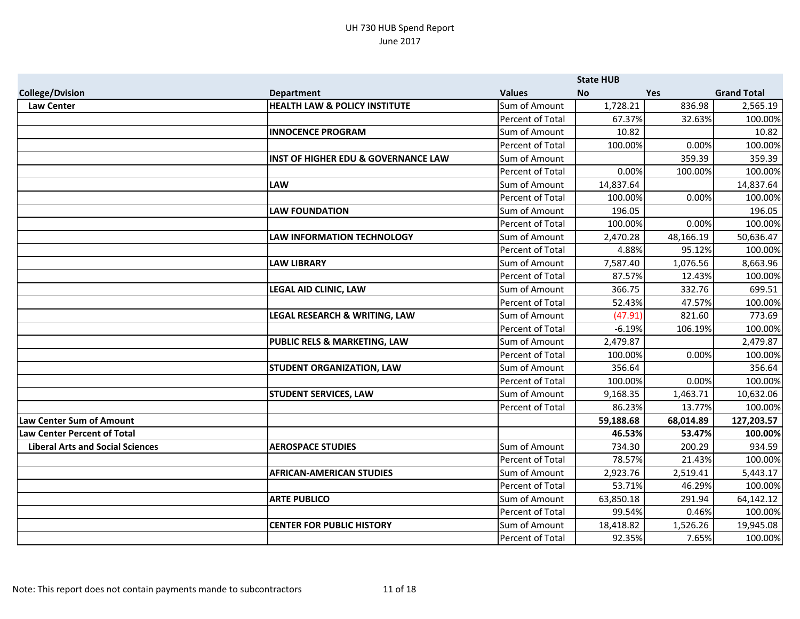|                                         |                                                |                  | <b>State HUB</b> |            |                    |
|-----------------------------------------|------------------------------------------------|------------------|------------------|------------|--------------------|
| <b>College/Dvision</b>                  | <b>Department</b>                              | <b>Values</b>    | <b>No</b>        | <b>Yes</b> | <b>Grand Total</b> |
| <b>Law Center</b>                       | <b>HEALTH LAW &amp; POLICY INSTITUTE</b>       | Sum of Amount    | 1,728.21         | 836.98     | 2,565.19           |
|                                         |                                                | Percent of Total | 67.37%           | 32.63%     | 100.00%            |
|                                         | <b>INNOCENCE PROGRAM</b>                       | Sum of Amount    | 10.82            |            | 10.82              |
|                                         |                                                | Percent of Total | 100.00%          | 0.00%      | 100.00%            |
|                                         | <b>INST OF HIGHER EDU &amp; GOVERNANCE LAW</b> | Sum of Amount    |                  | 359.39     | 359.39             |
|                                         |                                                | Percent of Total | 0.00%            | 100.00%    | 100.00%            |
|                                         | <b>LAW</b>                                     | Sum of Amount    | 14,837.64        |            | 14,837.64          |
|                                         |                                                | Percent of Total | 100.00%          | 0.00%      | 100.00%            |
|                                         | <b>LAW FOUNDATION</b>                          | Sum of Amount    | 196.05           |            | 196.05             |
|                                         |                                                | Percent of Total | 100.00%          | 0.00%      | 100.00%            |
|                                         | <b>LAW INFORMATION TECHNOLOGY</b>              | Sum of Amount    | 2,470.28         | 48,166.19  | 50,636.47          |
|                                         |                                                | Percent of Total | 4.88%            | 95.12%     | 100.00%            |
|                                         | <b>LAW LIBRARY</b>                             | Sum of Amount    | 7,587.40         | 1,076.56   | 8,663.96           |
|                                         |                                                | Percent of Total | 87.57%           | 12.43%     | 100.00%            |
|                                         | <b>LEGAL AID CLINIC, LAW</b>                   | Sum of Amount    | 366.75           | 332.76     | 699.51             |
|                                         |                                                | Percent of Total | 52.43%           | 47.57%     | 100.00%            |
|                                         | LEGAL RESEARCH & WRITING, LAW                  | Sum of Amount    | (47.91)          | 821.60     | 773.69             |
|                                         |                                                | Percent of Total | $-6.19%$         | 106.19%    | 100.00%            |
|                                         | <b>PUBLIC RELS &amp; MARKETING, LAW</b>        | Sum of Amount    | 2,479.87         |            | 2,479.87           |
|                                         |                                                | Percent of Total | 100.00%          | 0.00%      | 100.00%            |
|                                         | <b>STUDENT ORGANIZATION, LAW</b>               | Sum of Amount    | 356.64           |            | 356.64             |
|                                         |                                                | Percent of Total | 100.00%          | 0.00%      | 100.00%            |
|                                         | <b>STUDENT SERVICES, LAW</b>                   | Sum of Amount    | 9,168.35         | 1,463.71   | 10,632.06          |
|                                         |                                                | Percent of Total | 86.23%           | 13.77%     | 100.00%            |
| <b>Law Center Sum of Amount</b>         |                                                |                  | 59,188.68        | 68,014.89  | 127,203.57         |
| <b>Law Center Percent of Total</b>      |                                                |                  | 46.53%           | 53.47%     | 100.00%            |
| <b>Liberal Arts and Social Sciences</b> | <b>AEROSPACE STUDIES</b>                       | Sum of Amount    | 734.30           | 200.29     | 934.59             |
|                                         |                                                | Percent of Total | 78.57%           | 21.43%     | 100.00%            |
|                                         | <b>AFRICAN-AMERICAN STUDIES</b>                | Sum of Amount    | 2,923.76         | 2,519.41   | 5,443.17           |
|                                         |                                                | Percent of Total | 53.71%           | 46.29%     | 100.00%            |
|                                         | <b>ARTE PUBLICO</b>                            | Sum of Amount    | 63,850.18        | 291.94     | 64,142.12          |
|                                         |                                                | Percent of Total | 99.54%           | 0.46%      | 100.00%            |
|                                         | <b>CENTER FOR PUBLIC HISTORY</b>               | Sum of Amount    | 18,418.82        | 1,526.26   | 19,945.08          |
|                                         |                                                | Percent of Total | 92.35%           | 7.65%      | 100.00%            |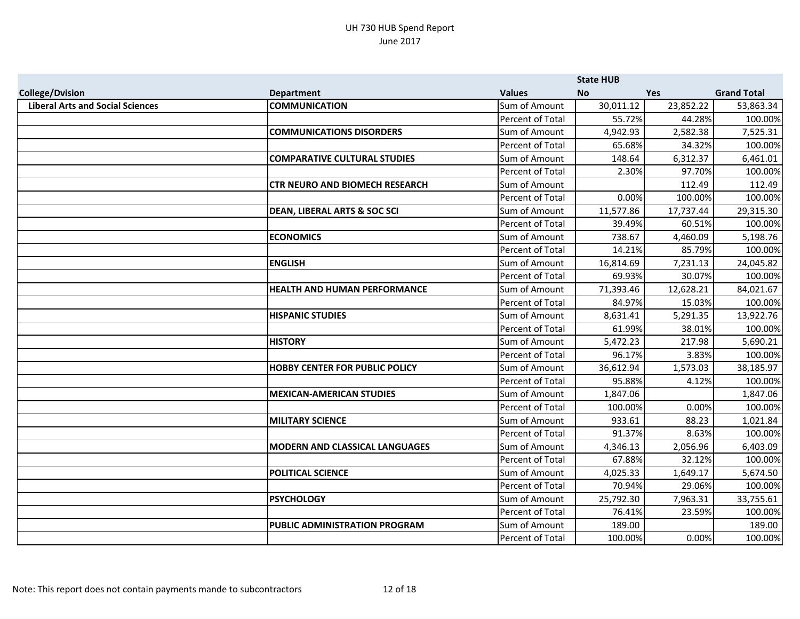|                                         |                                         |                  | <b>State HUB</b> |            |                    |
|-----------------------------------------|-----------------------------------------|------------------|------------------|------------|--------------------|
| <b>College/Dvision</b>                  | <b>Department</b>                       | <b>Values</b>    | <b>No</b>        | <b>Yes</b> | <b>Grand Total</b> |
| <b>Liberal Arts and Social Sciences</b> | <b>COMMUNICATION</b>                    | Sum of Amount    | 30,011.12        | 23,852.22  | 53,863.34          |
|                                         |                                         | Percent of Total | 55.72%           | 44.28%     | 100.00%            |
|                                         | <b>COMMUNICATIONS DISORDERS</b>         | Sum of Amount    | 4,942.93         | 2,582.38   | 7,525.31           |
|                                         |                                         | Percent of Total | 65.68%           | 34.32%     | 100.00%            |
|                                         | <b>COMPARATIVE CULTURAL STUDIES</b>     | Sum of Amount    | 148.64           | 6,312.37   | 6,461.01           |
|                                         |                                         | Percent of Total | 2.30%            | 97.70%     | 100.00%            |
|                                         | <b>CTR NEURO AND BIOMECH RESEARCH</b>   | Sum of Amount    |                  | 112.49     | 112.49             |
|                                         |                                         | Percent of Total | 0.00%            | 100.00%    | 100.00%            |
|                                         | <b>DEAN, LIBERAL ARTS &amp; SOC SCI</b> | Sum of Amount    | 11,577.86        | 17,737.44  | 29,315.30          |
|                                         |                                         | Percent of Total | 39.49%           | 60.51%     | 100.00%            |
|                                         | <b>ECONOMICS</b>                        | Sum of Amount    | 738.67           | 4,460.09   | 5,198.76           |
|                                         |                                         | Percent of Total | 14.21%           | 85.79%     | 100.00%            |
|                                         | <b>ENGLISH</b>                          | Sum of Amount    | 16,814.69        | 7,231.13   | 24,045.82          |
|                                         |                                         | Percent of Total | 69.93%           | 30.07%     | 100.00%            |
|                                         | <b>HEALTH AND HUMAN PERFORMANCE</b>     | Sum of Amount    | 71,393.46        | 12,628.21  | 84,021.67          |
|                                         |                                         | Percent of Total | 84.97%           | 15.03%     | 100.00%            |
|                                         | <b>HISPANIC STUDIES</b>                 | Sum of Amount    | 8,631.41         | 5,291.35   | 13,922.76          |
|                                         |                                         | Percent of Total | 61.99%           | 38.01%     | 100.00%            |
|                                         | <b>HISTORY</b>                          | Sum of Amount    | 5,472.23         | 217.98     | 5,690.21           |
|                                         |                                         | Percent of Total | 96.17%           | 3.83%      | 100.00%            |
|                                         | <b>HOBBY CENTER FOR PUBLIC POLICY</b>   | Sum of Amount    | 36,612.94        | 1,573.03   | 38,185.97          |
|                                         |                                         | Percent of Total | 95.88%           | 4.12%      | 100.00%            |
|                                         | <b>MEXICAN-AMERICAN STUDIES</b>         | Sum of Amount    | 1,847.06         |            | 1,847.06           |
|                                         |                                         | Percent of Total | 100.00%          | 0.00%      | 100.00%            |
|                                         | <b>MILITARY SCIENCE</b>                 | Sum of Amount    | 933.61           | 88.23      | 1,021.84           |
|                                         |                                         | Percent of Total | 91.37%           | 8.63%      | 100.00%            |
|                                         | <b>MODERN AND CLASSICAL LANGUAGES</b>   | Sum of Amount    | 4,346.13         | 2,056.96   | 6,403.09           |
|                                         |                                         | Percent of Total | 67.88%           | 32.12%     | 100.00%            |
|                                         | <b>POLITICAL SCIENCE</b>                | Sum of Amount    | 4,025.33         | 1,649.17   | 5,674.50           |
|                                         |                                         | Percent of Total | 70.94%           | 29.06%     | 100.00%            |
|                                         | <b>PSYCHOLOGY</b>                       | Sum of Amount    | 25,792.30        | 7,963.31   | 33,755.61          |
|                                         |                                         | Percent of Total | 76.41%           | 23.59%     | 100.00%            |
|                                         | <b>PUBLIC ADMINISTRATION PROGRAM</b>    | Sum of Amount    | 189.00           |            | 189.00             |
|                                         |                                         | Percent of Total | 100.00%          | 0.00%      | 100.00%            |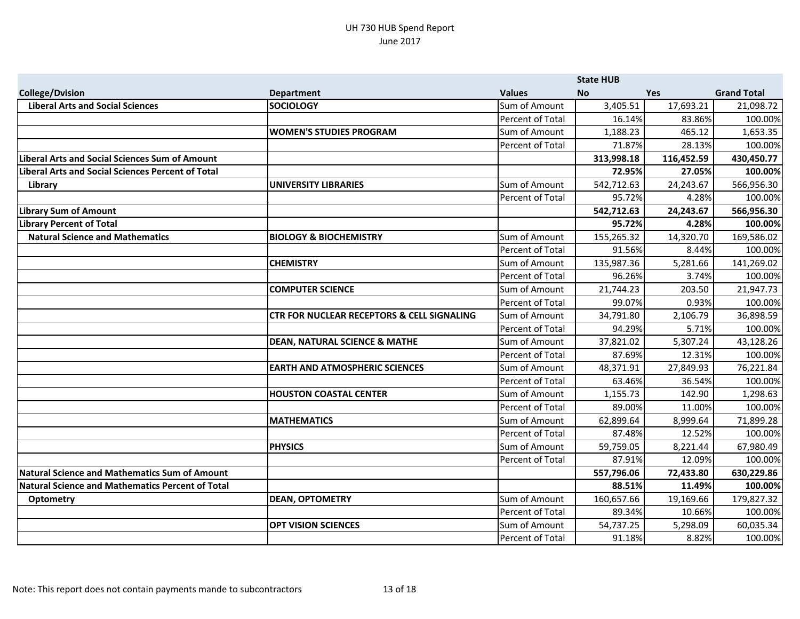|                                                          |                                                       |                         | <b>State HUB</b> |            |                    |
|----------------------------------------------------------|-------------------------------------------------------|-------------------------|------------------|------------|--------------------|
| <b>College/Dvision</b>                                   | <b>Department</b>                                     | <b>Values</b>           | <b>No</b>        | <b>Yes</b> | <b>Grand Total</b> |
| <b>Liberal Arts and Social Sciences</b>                  | <b>SOCIOLOGY</b>                                      | Sum of Amount           | 3,405.51         | 17,693.21  | 21,098.72          |
|                                                          |                                                       | Percent of Total        | 16.14%           | 83.86%     | 100.00%            |
|                                                          | <b>WOMEN'S STUDIES PROGRAM</b>                        | Sum of Amount           | 1,188.23         | 465.12     | 1,653.35           |
|                                                          |                                                       | Percent of Total        | 71.87%           | 28.13%     | 100.00%            |
| <b>Liberal Arts and Social Sciences Sum of Amount</b>    |                                                       |                         | 313,998.18       | 116,452.59 | 430,450.77         |
| <b>Liberal Arts and Social Sciences Percent of Total</b> |                                                       |                         | 72.95%           | 27.05%     | 100.00%            |
| Library                                                  | UNIVERSITY LIBRARIES                                  | Sum of Amount           | 542,712.63       | 24,243.67  | 566,956.30         |
|                                                          |                                                       | <b>Percent of Total</b> | 95.72%           | 4.28%      | 100.00%            |
| <b>Library Sum of Amount</b>                             |                                                       |                         | 542,712.63       | 24,243.67  | 566,956.30         |
| <b>Library Percent of Total</b>                          |                                                       |                         | 95.72%           | 4.28%      | 100.00%            |
| <b>Natural Science and Mathematics</b>                   | <b>BIOLOGY &amp; BIOCHEMISTRY</b>                     | Sum of Amount           | 155,265.32       | 14,320.70  | 169,586.02         |
|                                                          |                                                       | Percent of Total        | 91.56%           | 8.44%      | 100.00%            |
|                                                          | <b>CHEMISTRY</b>                                      | Sum of Amount           | 135,987.36       | 5,281.66   | 141,269.02         |
|                                                          |                                                       | Percent of Total        | 96.26%           | 3.74%      | 100.00%            |
|                                                          | <b>COMPUTER SCIENCE</b>                               | Sum of Amount           | 21,744.23        | 203.50     | 21,947.73          |
|                                                          |                                                       | Percent of Total        | 99.07%           | 0.93%      | 100.00%            |
|                                                          | <b>CTR FOR NUCLEAR RECEPTORS &amp; CELL SIGNALING</b> | Sum of Amount           | 34,791.80        | 2,106.79   | 36,898.59          |
|                                                          |                                                       | Percent of Total        | 94.29%           | 5.71%      | 100.00%            |
|                                                          | <b>DEAN, NATURAL SCIENCE &amp; MATHE</b>              | Sum of Amount           | 37,821.02        | 5,307.24   | 43,128.26          |
|                                                          |                                                       | Percent of Total        | 87.69%           | 12.31%     | 100.00%            |
|                                                          | <b>EARTH AND ATMOSPHERIC SCIENCES</b>                 | Sum of Amount           | 48,371.91        | 27,849.93  | 76,221.84          |
|                                                          |                                                       | Percent of Total        | 63.46%           | 36.54%     | 100.00%            |
|                                                          | <b>HOUSTON COASTAL CENTER</b>                         | Sum of Amount           | 1,155.73         | 142.90     | 1,298.63           |
|                                                          |                                                       | Percent of Total        | 89.00%           | 11.00%     | 100.00%            |
|                                                          | <b>MATHEMATICS</b>                                    | Sum of Amount           | 62,899.64        | 8,999.64   | 71,899.28          |
|                                                          |                                                       | Percent of Total        | 87.48%           | 12.52%     | 100.00%            |
|                                                          | <b>PHYSICS</b>                                        | Sum of Amount           | 59,759.05        | 8,221.44   | 67,980.49          |
|                                                          |                                                       | Percent of Total        | 87.91%           | 12.09%     | 100.00%            |
| <b>Natural Science and Mathematics Sum of Amount</b>     |                                                       |                         | 557,796.06       | 72,433.80  | 630,229.86         |
| <b>Natural Science and Mathematics Percent of Total</b>  |                                                       |                         | 88.51%           | 11.49%     | 100.00%            |
| <b>Optometry</b>                                         | <b>DEAN, OPTOMETRY</b>                                | Sum of Amount           | 160,657.66       | 19,169.66  | 179,827.32         |
|                                                          |                                                       | Percent of Total        | 89.34%           | 10.66%     | 100.00%            |
|                                                          | <b>OPT VISION SCIENCES</b>                            | Sum of Amount           | 54,737.25        | 5,298.09   | 60,035.34          |
|                                                          |                                                       | Percent of Total        | 91.18%           | 8.82%      | 100.00%            |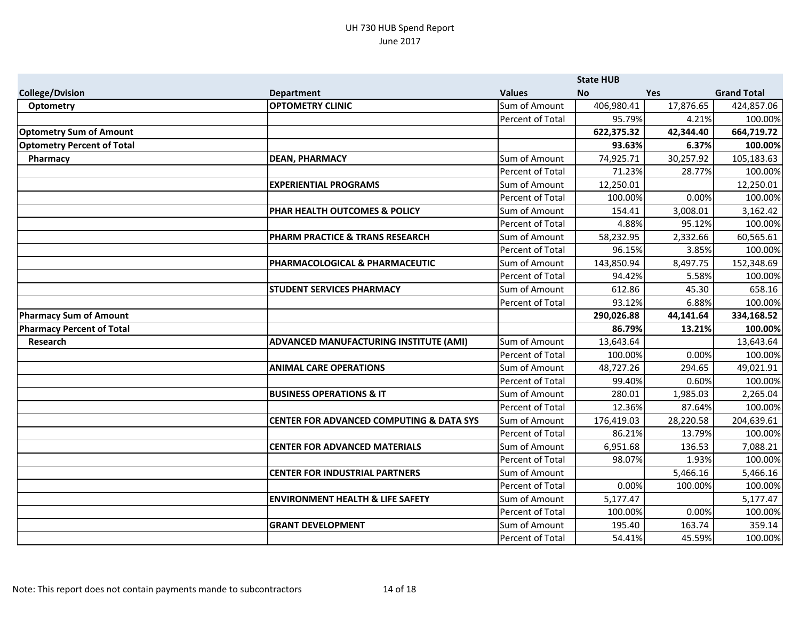|                                   |                                                     |                  | <b>State HUB</b> |           |                    |
|-----------------------------------|-----------------------------------------------------|------------------|------------------|-----------|--------------------|
| <b>College/Dvision</b>            | <b>Department</b>                                   | <b>Values</b>    | <b>No</b>        | Yes       | <b>Grand Total</b> |
| <b>Optometry</b>                  | <b>OPTOMETRY CLINIC</b>                             | Sum of Amount    | 406,980.41       | 17,876.65 | 424,857.06         |
|                                   |                                                     | Percent of Total | 95.79%           | 4.21%     | 100.00%            |
| <b>Optometry Sum of Amount</b>    |                                                     |                  | 622,375.32       | 42,344.40 | 664,719.72         |
| <b>Optometry Percent of Total</b> |                                                     |                  | 93.63%           | 6.37%     | 100.00%            |
| Pharmacy                          | <b>DEAN, PHARMACY</b>                               | Sum of Amount    | 74,925.71        | 30,257.92 | 105,183.63         |
|                                   |                                                     | Percent of Total | 71.23%           | 28.77%    | 100.00%            |
|                                   | <b>EXPERIENTIAL PROGRAMS</b>                        | Sum of Amount    | 12,250.01        |           | 12,250.01          |
|                                   |                                                     | Percent of Total | 100.00%          | 0.00%     | 100.00%            |
|                                   | PHAR HEALTH OUTCOMES & POLICY                       | Sum of Amount    | 154.41           | 3,008.01  | 3,162.42           |
|                                   |                                                     | Percent of Total | 4.88%            | 95.12%    | 100.00%            |
|                                   | PHARM PRACTICE & TRANS RESEARCH                     | Sum of Amount    | 58,232.95        | 2,332.66  | 60,565.61          |
|                                   |                                                     | Percent of Total | 96.15%           | 3.85%     | 100.00%            |
|                                   | PHARMACOLOGICAL & PHARMACEUTIC                      | Sum of Amount    | 143,850.94       | 8,497.75  | 152,348.69         |
|                                   |                                                     | Percent of Total | 94.42%           | 5.58%     | 100.00%            |
|                                   | <b>STUDENT SERVICES PHARMACY</b>                    | Sum of Amount    | 612.86           | 45.30     | 658.16             |
|                                   |                                                     | Percent of Total | 93.12%           | 6.88%     | 100.00%            |
| <b>Pharmacy Sum of Amount</b>     |                                                     |                  | 290,026.88       | 44,141.64 | 334,168.52         |
| <b>Pharmacy Percent of Total</b>  |                                                     |                  | 86.79%           | 13.21%    | 100.00%            |
| Research                          | ADVANCED MANUFACTURING INSTITUTE (AMI)              | Sum of Amount    | 13,643.64        |           | 13,643.64          |
|                                   |                                                     | Percent of Total | 100.00%          | 0.00%     | 100.00%            |
|                                   | <b>ANIMAL CARE OPERATIONS</b>                       | Sum of Amount    | 48,727.26        | 294.65    | 49,021.91          |
|                                   |                                                     | Percent of Total | 99.40%           | 0.60%     | 100.00%            |
|                                   | <b>BUSINESS OPERATIONS &amp; IT</b>                 | Sum of Amount    | 280.01           | 1,985.03  | 2,265.04           |
|                                   |                                                     | Percent of Total | 12.36%           | 87.64%    | 100.00%            |
|                                   | <b>CENTER FOR ADVANCED COMPUTING &amp; DATA SYS</b> | Sum of Amount    | 176,419.03       | 28,220.58 | 204,639.61         |
|                                   |                                                     | Percent of Total | 86.21%           | 13.79%    | 100.00%            |
|                                   | <b>CENTER FOR ADVANCED MATERIALS</b>                | Sum of Amount    | 6,951.68         | 136.53    | 7,088.21           |
|                                   |                                                     | Percent of Total | 98.07%           | 1.93%     | 100.00%            |
|                                   | <b>CENTER FOR INDUSTRIAL PARTNERS</b>               | Sum of Amount    |                  | 5,466.16  | 5,466.16           |
|                                   |                                                     | Percent of Total | 0.00%            | 100.00%   | 100.00%            |
|                                   | <b>ENVIRONMENT HEALTH &amp; LIFE SAFETY</b>         | Sum of Amount    | 5,177.47         |           | 5,177.47           |
|                                   |                                                     | Percent of Total | 100.00%          | 0.00%     | 100.00%            |
|                                   | <b>GRANT DEVELOPMENT</b>                            | Sum of Amount    | 195.40           | 163.74    | 359.14             |
|                                   |                                                     | Percent of Total | 54.41%           | 45.59%    | 100.00%            |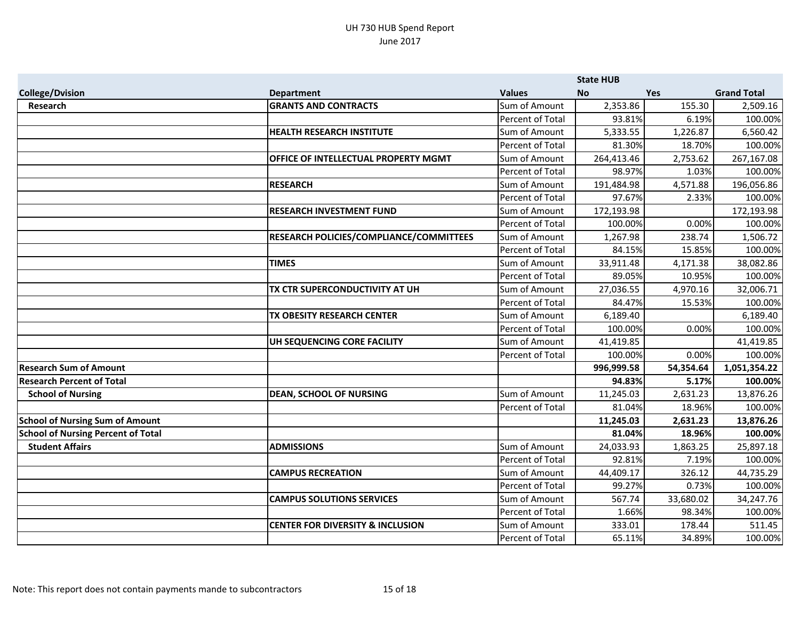|                                           |                                                |                  | <b>State HUB</b> |            |                    |
|-------------------------------------------|------------------------------------------------|------------------|------------------|------------|--------------------|
| <b>College/Dvision</b>                    | <b>Department</b>                              | <b>Values</b>    | <b>No</b>        | <b>Yes</b> | <b>Grand Total</b> |
| Research                                  | <b>GRANTS AND CONTRACTS</b>                    | Sum of Amount    | 2,353.86         | 155.30     | 2,509.16           |
|                                           |                                                | Percent of Total | 93.81%           | 6.19%      | 100.00%            |
|                                           | <b>HEALTH RESEARCH INSTITUTE</b>               | Sum of Amount    | 5,333.55         | 1,226.87   | 6,560.42           |
|                                           |                                                | Percent of Total | 81.30%           | 18.70%     | 100.00%            |
|                                           | OFFICE OF INTELLECTUAL PROPERTY MGMT           | Sum of Amount    | 264,413.46       | 2,753.62   | 267,167.08         |
|                                           |                                                | Percent of Total | 98.97%           | 1.03%      | 100.00%            |
|                                           | <b>RESEARCH</b>                                | Sum of Amount    | 191,484.98       | 4,571.88   | 196,056.86         |
|                                           |                                                | Percent of Total | 97.67%           | 2.33%      | 100.00%            |
|                                           | <b>RESEARCH INVESTMENT FUND</b>                | Sum of Amount    | 172,193.98       |            | 172,193.98         |
|                                           |                                                | Percent of Total | 100.00%          | 0.00%      | 100.00%            |
|                                           | <b>RESEARCH POLICIES/COMPLIANCE/COMMITTEES</b> | Sum of Amount    | 1,267.98         | 238.74     | 1,506.72           |
|                                           |                                                | Percent of Total | 84.15%           | 15.85%     | 100.00%            |
|                                           | <b>TIMES</b>                                   | Sum of Amount    | 33,911.48        | 4,171.38   | 38,082.86          |
|                                           |                                                | Percent of Total | 89.05%           | 10.95%     | 100.00%            |
|                                           | TX CTR SUPERCONDUCTIVITY AT UH                 | Sum of Amount    | 27,036.55        | 4,970.16   | 32,006.71          |
|                                           |                                                | Percent of Total | 84.47%           | 15.53%     | 100.00%            |
|                                           | TX OBESITY RESEARCH CENTER                     | Sum of Amount    | 6,189.40         |            | 6,189.40           |
|                                           |                                                | Percent of Total | 100.00%          | 0.00%      | 100.00%            |
|                                           | UH SEQUENCING CORE FACILITY                    | Sum of Amount    | 41,419.85        |            | 41,419.85          |
|                                           |                                                | Percent of Total | 100.00%          | 0.00%      | 100.00%            |
| <b>Research Sum of Amount</b>             |                                                |                  | 996,999.58       | 54,354.64  | 1,051,354.22       |
| <b>Research Percent of Total</b>          |                                                |                  | 94.83%           | 5.17%      | 100.00%            |
| <b>School of Nursing</b>                  | <b>DEAN, SCHOOL OF NURSING</b>                 | Sum of Amount    | 11,245.03        | 2,631.23   | 13,876.26          |
|                                           |                                                | Percent of Total | 81.04%           | 18.96%     | 100.00%            |
| <b>School of Nursing Sum of Amount</b>    |                                                |                  | 11,245.03        | 2,631.23   | 13,876.26          |
| <b>School of Nursing Percent of Total</b> |                                                |                  | 81.04%           | 18.96%     | 100.00%            |
| <b>Student Affairs</b>                    | <b>ADMISSIONS</b>                              | Sum of Amount    | 24,033.93        | 1,863.25   | 25,897.18          |
|                                           |                                                | Percent of Total | 92.81%           | 7.19%      | 100.00%            |
|                                           | <b>CAMPUS RECREATION</b>                       | Sum of Amount    | 44,409.17        | 326.12     | 44,735.29          |
|                                           |                                                | Percent of Total | 99.27%           | 0.73%      | 100.00%            |
|                                           | <b>CAMPUS SOLUTIONS SERVICES</b>               | Sum of Amount    | 567.74           | 33,680.02  | 34,247.76          |
|                                           |                                                | Percent of Total | 1.66%            | 98.34%     | 100.00%            |
|                                           | <b>CENTER FOR DIVERSITY &amp; INCLUSION</b>    | Sum of Amount    | 333.01           | 178.44     | 511.45             |
|                                           |                                                | Percent of Total | 65.11%           | 34.89%     | 100.00%            |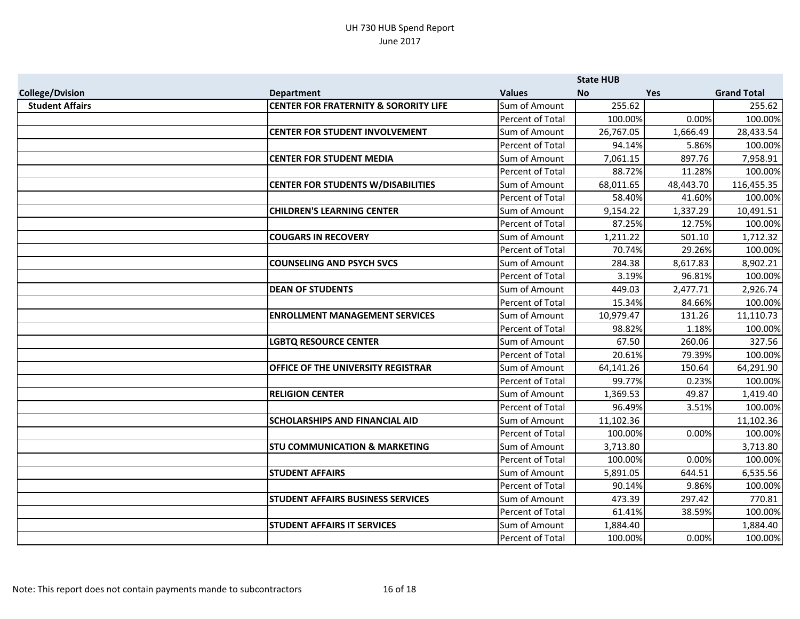|                        |                                                  |                  | <b>State HUB</b> |            |                    |
|------------------------|--------------------------------------------------|------------------|------------------|------------|--------------------|
| <b>College/Dvision</b> | <b>Department</b>                                | <b>Values</b>    | <b>No</b>        | <b>Yes</b> | <b>Grand Total</b> |
| <b>Student Affairs</b> | <b>CENTER FOR FRATERNITY &amp; SORORITY LIFE</b> | Sum of Amount    | 255.62           |            | 255.62             |
|                        |                                                  | Percent of Total | 100.00%          | 0.00%      | 100.00%            |
|                        | <b>CENTER FOR STUDENT INVOLVEMENT</b>            | Sum of Amount    | 26,767.05        | 1,666.49   | 28,433.54          |
|                        |                                                  | Percent of Total | 94.14%           | 5.86%      | 100.00%            |
|                        | <b>CENTER FOR STUDENT MEDIA</b>                  | Sum of Amount    | 7,061.15         | 897.76     | 7,958.91           |
|                        |                                                  | Percent of Total | 88.72%           | 11.28%     | 100.00%            |
|                        | <b>CENTER FOR STUDENTS W/DISABILITIES</b>        | Sum of Amount    | 68,011.65        | 48,443.70  | 116,455.35         |
|                        |                                                  | Percent of Total | 58.40%           | 41.60%     | 100.00%            |
|                        | <b>CHILDREN'S LEARNING CENTER</b>                | Sum of Amount    | 9,154.22         | 1,337.29   | 10,491.51          |
|                        |                                                  | Percent of Total | 87.25%           | 12.75%     | 100.00%            |
|                        | <b>COUGARS IN RECOVERY</b>                       | Sum of Amount    | 1,211.22         | 501.10     | 1,712.32           |
|                        |                                                  | Percent of Total | 70.74%           | 29.26%     | 100.00%            |
|                        | <b>COUNSELING AND PSYCH SVCS</b>                 | Sum of Amount    | 284.38           | 8,617.83   | 8,902.21           |
|                        |                                                  | Percent of Total | 3.19%            | 96.81%     | 100.00%            |
|                        | <b>DEAN OF STUDENTS</b>                          | Sum of Amount    | 449.03           | 2,477.71   | 2,926.74           |
|                        |                                                  | Percent of Total | 15.34%           | 84.66%     | 100.00%            |
|                        | <b>ENROLLMENT MANAGEMENT SERVICES</b>            | Sum of Amount    | 10,979.47        | 131.26     | 11,110.73          |
|                        |                                                  | Percent of Total | 98.82%           | 1.18%      | 100.00%            |
|                        | <b>LGBTQ RESOURCE CENTER</b>                     | Sum of Amount    | 67.50            | 260.06     | 327.56             |
|                        |                                                  | Percent of Total | 20.61%           | 79.39%     | 100.00%            |
|                        | <b>OFFICE OF THE UNIVERSITY REGISTRAR</b>        | Sum of Amount    | 64,141.26        | 150.64     | 64,291.90          |
|                        |                                                  | Percent of Total | 99.77%           | 0.23%      | 100.00%            |
|                        | <b>RELIGION CENTER</b>                           | Sum of Amount    | 1,369.53         | 49.87      | 1,419.40           |
|                        |                                                  | Percent of Total | 96.49%           | 3.51%      | 100.00%            |
|                        | <b>SCHOLARSHIPS AND FINANCIAL AID</b>            | Sum of Amount    | 11,102.36        |            | 11,102.36          |
|                        |                                                  | Percent of Total | 100.00%          | 0.00%      | 100.00%            |
|                        | <b>STU COMMUNICATION &amp; MARKETING</b>         | Sum of Amount    | 3,713.80         |            | 3,713.80           |
|                        |                                                  | Percent of Total | 100.00%          | 0.00%      | 100.00%            |
|                        | <b>STUDENT AFFAIRS</b>                           | Sum of Amount    | 5,891.05         | 644.51     | 6,535.56           |
|                        |                                                  | Percent of Total | 90.14%           | 9.86%      | 100.00%            |
|                        | <b>STUDENT AFFAIRS BUSINESS SERVICES</b>         | Sum of Amount    | 473.39           | 297.42     | 770.81             |
|                        |                                                  | Percent of Total | 61.41%           | 38.59%     | 100.00%            |
|                        | <b>STUDENT AFFAIRS IT SERVICES</b>               | Sum of Amount    | 1,884.40         |            | 1,884.40           |
|                        |                                                  | Percent of Total | 100.00%          | 0.00%      | 100.00%            |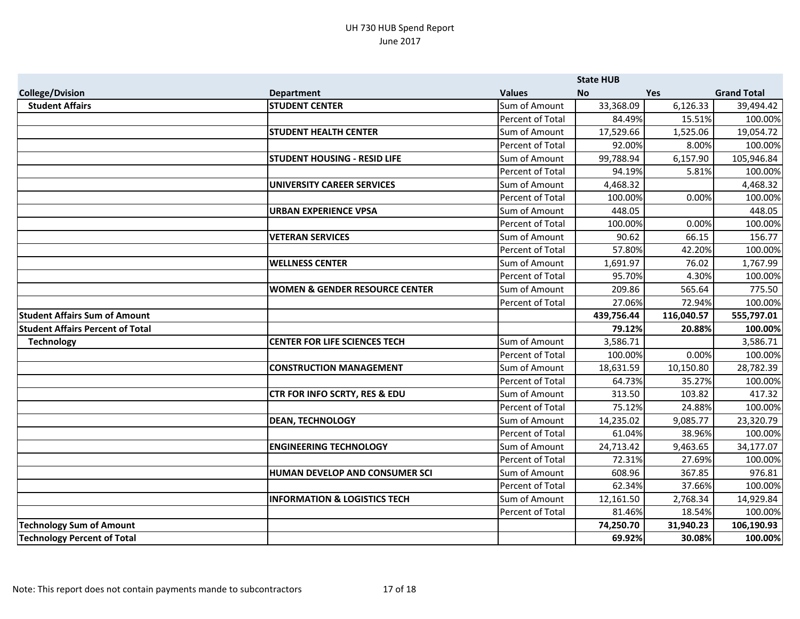|                                         |                                           |                  | <b>State HUB</b> |            |                    |
|-----------------------------------------|-------------------------------------------|------------------|------------------|------------|--------------------|
| <b>College/Dvision</b>                  | <b>Department</b>                         | <b>Values</b>    | <b>No</b>        | <b>Yes</b> | <b>Grand Total</b> |
| <b>Student Affairs</b>                  | <b>STUDENT CENTER</b>                     | Sum of Amount    | 33,368.09        | 6,126.33   | 39,494.42          |
|                                         |                                           | Percent of Total | 84.49%           | 15.51%     | 100.00%            |
|                                         | <b>STUDENT HEALTH CENTER</b>              | Sum of Amount    | 17,529.66        | 1,525.06   | 19,054.72          |
|                                         |                                           | Percent of Total | 92.00%           | 8.00%      | 100.00%            |
|                                         | <b>STUDENT HOUSING - RESID LIFE</b>       | Sum of Amount    | 99,788.94        | 6,157.90   | 105,946.84         |
|                                         |                                           | Percent of Total | 94.19%           | 5.81%      | 100.00%            |
|                                         | UNIVERSITY CAREER SERVICES                | Sum of Amount    | 4,468.32         |            | 4,468.32           |
|                                         |                                           | Percent of Total | 100.00%          | 0.00%      | 100.00%            |
|                                         | <b>URBAN EXPERIENCE VPSA</b>              | Sum of Amount    | 448.05           |            | 448.05             |
|                                         |                                           | Percent of Total | 100.00%          | 0.00%      | 100.00%            |
|                                         | <b>VETERAN SERVICES</b>                   | Sum of Amount    | 90.62            | 66.15      | 156.77             |
|                                         |                                           | Percent of Total | 57.80%           | 42.20%     | 100.00%            |
|                                         | <b>WELLNESS CENTER</b>                    | Sum of Amount    | 1,691.97         | 76.02      | 1,767.99           |
|                                         |                                           | Percent of Total | 95.70%           | 4.30%      | 100.00%            |
|                                         | <b>WOMEN &amp; GENDER RESOURCE CENTER</b> | Sum of Amount    | 209.86           | 565.64     | 775.50             |
|                                         |                                           | Percent of Total | 27.06%           | 72.94%     | 100.00%            |
| <b>Student Affairs Sum of Amount</b>    |                                           |                  | 439,756.44       | 116,040.57 | 555,797.01         |
| <b>Student Affairs Percent of Total</b> |                                           |                  | 79.12%           | 20.88%     | 100.00%            |
| <b>Technology</b>                       | <b>CENTER FOR LIFE SCIENCES TECH</b>      | Sum of Amount    | 3,586.71         |            | 3,586.71           |
|                                         |                                           | Percent of Total | 100.00%          | 0.00%      | 100.00%            |
|                                         | <b>CONSTRUCTION MANAGEMENT</b>            | Sum of Amount    | 18,631.59        | 10,150.80  | 28,782.39          |
|                                         |                                           | Percent of Total | 64.73%           | 35.27%     | 100.00%            |
|                                         | <b>CTR FOR INFO SCRTY, RES &amp; EDU</b>  | Sum of Amount    | 313.50           | 103.82     | 417.32             |
|                                         |                                           | Percent of Total | 75.12%           | 24.88%     | 100.00%            |
|                                         | <b>DEAN, TECHNOLOGY</b>                   | Sum of Amount    | 14,235.02        | 9,085.77   | 23,320.79          |
|                                         |                                           | Percent of Total | 61.04%           | 38.96%     | 100.00%            |
|                                         | <b>ENGINEERING TECHNOLOGY</b>             | Sum of Amount    | 24,713.42        | 9,463.65   | 34,177.07          |
|                                         |                                           | Percent of Total | 72.31%           | 27.69%     | 100.00%            |
|                                         | HUMAN DEVELOP AND CONSUMER SCI            | Sum of Amount    | 608.96           | 367.85     | 976.81             |
|                                         |                                           | Percent of Total | 62.34%           | 37.66%     | 100.00%            |
|                                         | <b>INFORMATION &amp; LOGISTICS TECH</b>   | Sum of Amount    | 12,161.50        | 2,768.34   | 14,929.84          |
|                                         |                                           | Percent of Total | 81.46%           | 18.54%     | 100.00%            |
| <b>Technology Sum of Amount</b>         |                                           |                  | 74,250.70        | 31,940.23  | 106,190.93         |
| <b>Technology Percent of Total</b>      |                                           |                  | 69.92%           | 30.08%     | 100.00%            |